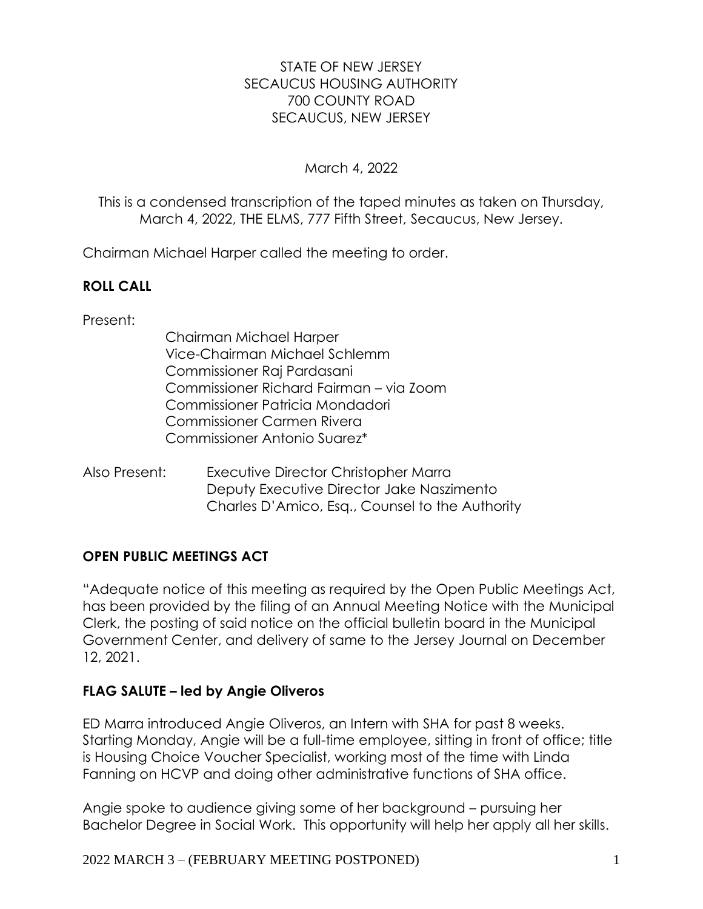## STATE OF NEW JERSEY SECAUCUS HOUSING AUTHORITY 700 COUNTY ROAD SECAUCUS, NEW JERSEY

## March 4, 2022

This is a condensed transcription of the taped minutes as taken on Thursday, March 4, 2022, THE ELMS, 777 Fifth Street, Secaucus, New Jersey.

Chairman Michael Harper called the meeting to order.

## **ROLL CALL**

Present:

- Chairman Michael Harper Vice-Chairman Michael Schlemm Commissioner Raj Pardasani Commissioner Richard Fairman – via Zoom Commissioner Patricia Mondadori Commissioner Carmen Rivera Commissioner Antonio Suarez\*
- Also Present: Executive Director Christopher Marra Deputy Executive Director Jake Naszimento Charles D'Amico, Esq., Counsel to the Authority

## **OPEN PUBLIC MEETINGS ACT**

"Adequate notice of this meeting as required by the Open Public Meetings Act, has been provided by the filing of an Annual Meeting Notice with the Municipal Clerk, the posting of said notice on the official bulletin board in the Municipal Government Center, and delivery of same to the Jersey Journal on December 12, 2021.

## **FLAG SALUTE – led by Angie Oliveros**

ED Marra introduced Angie Oliveros, an Intern with SHA for past 8 weeks. Starting Monday, Angie will be a full-time employee, sitting in front of office; title is Housing Choice Voucher Specialist, working most of the time with Linda Fanning on HCVP and doing other administrative functions of SHA office.

Angie spoke to audience giving some of her background – pursuing her Bachelor Degree in Social Work. This opportunity will help her apply all her skills.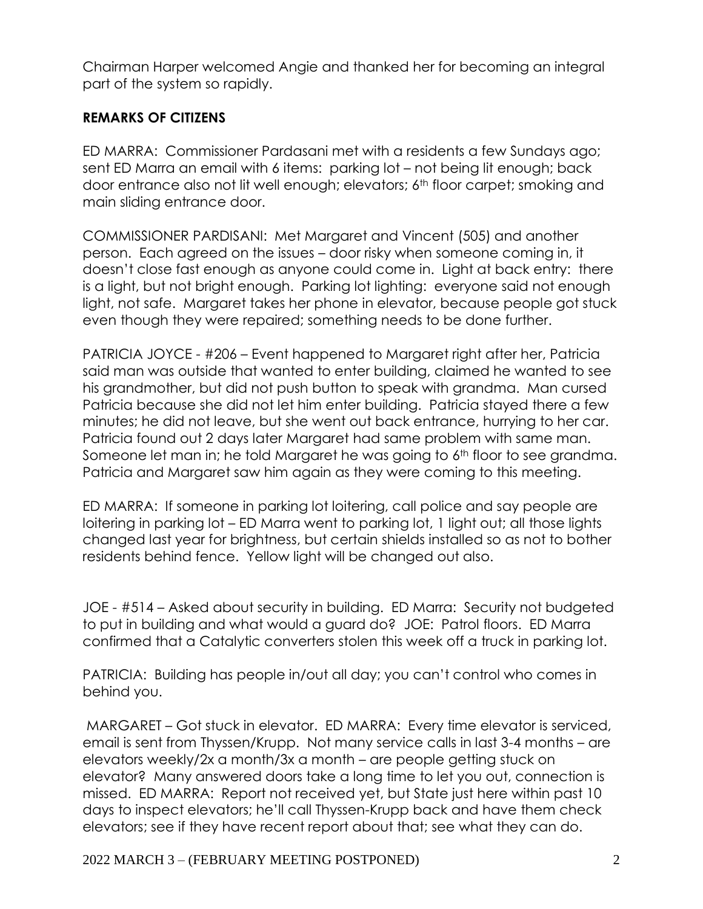Chairman Harper welcomed Angie and thanked her for becoming an integral part of the system so rapidly.

## **REMARKS OF CITIZENS**

ED MARRA: Commissioner Pardasani met with a residents a few Sundays ago; sent ED Marra an email with 6 items: parking lot – not being lit enough; back door entrance also not lit well enough; elevators; 6th floor carpet; smoking and main sliding entrance door.

COMMISSIONER PARDISANI: Met Margaret and Vincent (505) and another person. Each agreed on the issues – door risky when someone coming in, it doesn't close fast enough as anyone could come in. Light at back entry: there is a light, but not bright enough. Parking lot lighting: everyone said not enough light, not safe. Margaret takes her phone in elevator, because people got stuck even though they were repaired; something needs to be done further.

PATRICIA JOYCE - #206 – Event happened to Margaret right after her, Patricia said man was outside that wanted to enter building, claimed he wanted to see his grandmother, but did not push button to speak with grandma. Man cursed Patricia because she did not let him enter building. Patricia stayed there a few minutes; he did not leave, but she went out back entrance, hurrying to her car. Patricia found out 2 days later Margaret had same problem with same man. Someone let man in; he told Margaret he was going to 6<sup>th</sup> floor to see grandma. Patricia and Margaret saw him again as they were coming to this meeting.

ED MARRA: If someone in parking lot loitering, call police and say people are loitering in parking lot – ED Marra went to parking lot, 1 light out; all those lights changed last year for brightness, but certain shields installed so as not to bother residents behind fence. Yellow light will be changed out also.

JOE - #514 – Asked about security in building. ED Marra: Security not budgeted to put in building and what would a guard do? JOE: Patrol floors. ED Marra confirmed that a Catalytic converters stolen this week off a truck in parking lot.

PATRICIA: Building has people in/out all day; you can't control who comes in behind you.

MARGARET – Got stuck in elevator. ED MARRA: Every time elevator is serviced, email is sent from Thyssen/Krupp. Not many service calls in last 3-4 months – are elevators weekly/2x a month/3x a month – are people getting stuck on elevator? Many answered doors take a long time to let you out, connection is missed. ED MARRA: Report not received yet, but State just here within past 10 days to inspect elevators; he'll call Thyssen-Krupp back and have them check elevators; see if they have recent report about that; see what they can do.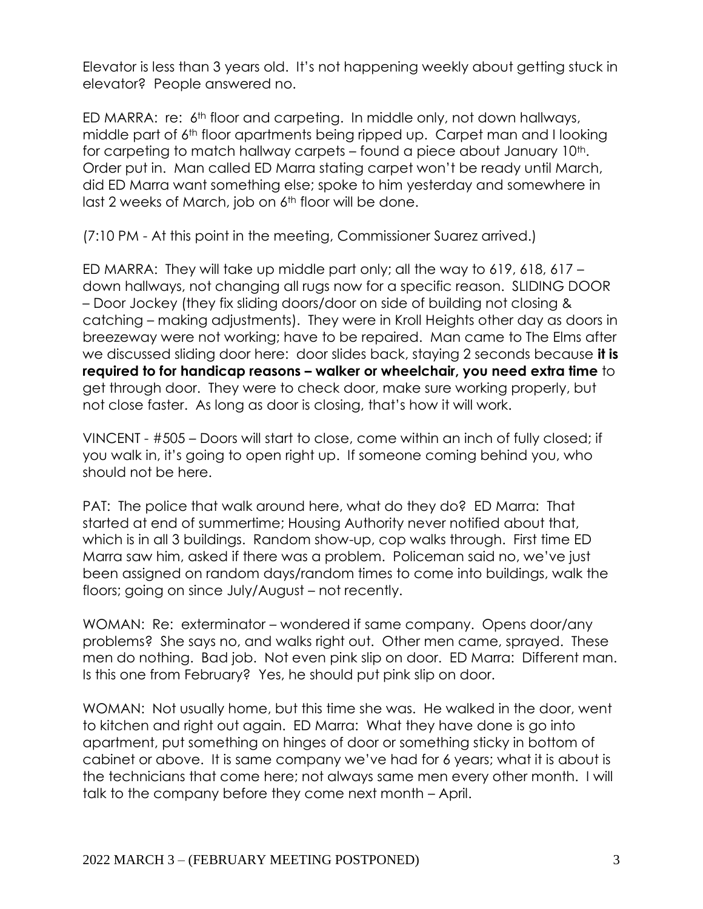Elevator is less than 3 years old. It's not happening weekly about getting stuck in elevator? People answered no.

ED MARRA: re: 6<sup>th</sup> floor and carpeting. In middle only, not down hallways, middle part of 6<sup>th</sup> floor apartments being ripped up. Carpet man and I looking for carpeting to match hallway carpets – found a piece about January 10<sup>th</sup>. Order put in. Man called ED Marra stating carpet won't be ready until March, did ED Marra want something else; spoke to him yesterday and somewhere in last 2 weeks of March, job on 6<sup>th</sup> floor will be done.

(7:10 PM - At this point in the meeting, Commissioner Suarez arrived.)

ED MARRA: They will take up middle part only; all the way to 619, 618, 617 – down hallways, not changing all rugs now for a specific reason. SLIDING DOOR – Door Jockey (they fix sliding doors/door on side of building not closing & catching – making adjustments). They were in Kroll Heights other day as doors in breezeway were not working; have to be repaired. Man came to The Elms after we discussed sliding door here: door slides back, staying 2 seconds because **it is required to for handicap reasons – walker or wheelchair, you need extra time** to get through door. They were to check door, make sure working properly, but not close faster. As long as door is closing, that's how it will work.

VINCENT - #505 – Doors will start to close, come within an inch of fully closed; if you walk in, it's going to open right up. If someone coming behind you, who should not be here.

PAT: The police that walk around here, what do they do? ED Marra: That started at end of summertime; Housing Authority never notified about that, which is in all 3 buildings. Random show-up, cop walks through. First time ED Marra saw him, asked if there was a problem. Policeman said no, we've just been assigned on random days/random times to come into buildings, walk the floors; going on since July/August – not recently.

WOMAN: Re: exterminator – wondered if same company. Opens door/any problems? She says no, and walks right out. Other men came, sprayed. These men do nothing. Bad job. Not even pink slip on door. ED Marra: Different man. Is this one from February? Yes, he should put pink slip on door.

WOMAN: Not usually home, but this time she was. He walked in the door, went to kitchen and right out again. ED Marra: What they have done is go into apartment, put something on hinges of door or something sticky in bottom of cabinet or above. It is same company we've had for 6 years; what it is about is the technicians that come here; not always same men every other month. I will talk to the company before they come next month – April.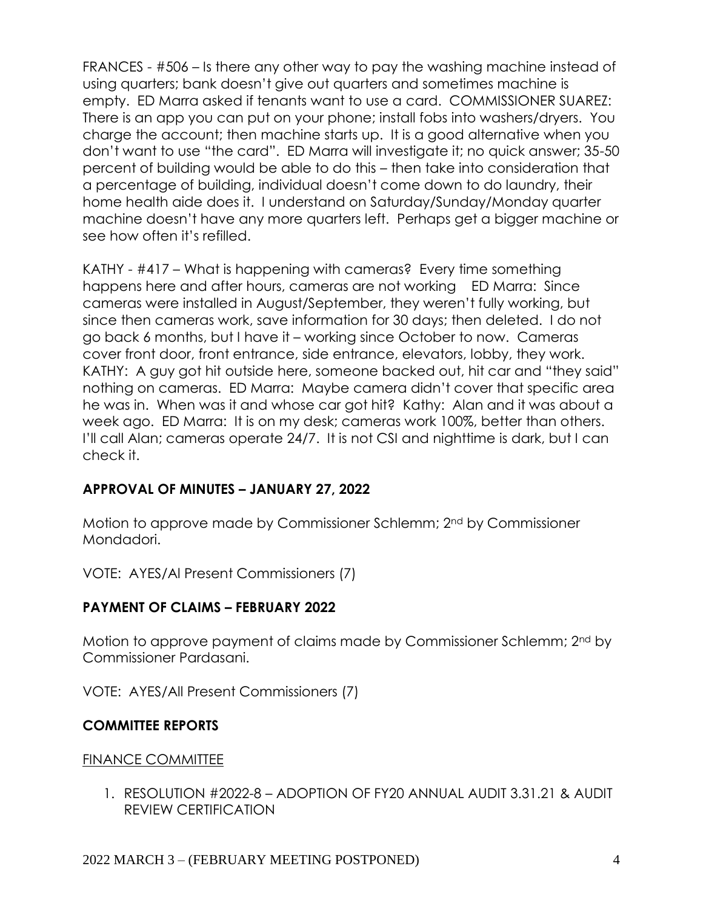FRANCES - #506 – Is there any other way to pay the washing machine instead of using quarters; bank doesn't give out quarters and sometimes machine is empty. ED Marra asked if tenants want to use a card. COMMISSIONER SUAREZ: There is an app you can put on your phone; install fobs into washers/dryers. You charge the account; then machine starts up. It is a good alternative when you don't want to use "the card". ED Marra will investigate it; no quick answer; 35-50 percent of building would be able to do this – then take into consideration that a percentage of building, individual doesn't come down to do laundry, their home health aide does it. I understand on Saturday/Sunday/Monday quarter machine doesn't have any more quarters left. Perhaps get a bigger machine or see how often it's refilled.

KATHY - #417 – What is happening with cameras? Every time something happens here and after hours, cameras are not working ED Marra: Since cameras were installed in August/September, they weren't fully working, but since then cameras work, save information for 30 days; then deleted. I do not go back 6 months, but I have it – working since October to now. Cameras cover front door, front entrance, side entrance, elevators, lobby, they work. KATHY: A guy got hit outside here, someone backed out, hit car and "they said" nothing on cameras. ED Marra: Maybe camera didn't cover that specific area he was in. When was it and whose car got hit? Kathy: Alan and it was about a week ago. ED Marra: It is on my desk; cameras work 100%, better than others. I'll call Alan; cameras operate 24/7. It is not CSI and nighttime is dark, but I can check it.

## **APPROVAL OF MINUTES – JANUARY 27, 2022**

Motion to approve made by Commissioner Schlemm; 2nd by Commissioner Mondadori.

VOTE: AYES/Al Present Commissioners (7)

## **PAYMENT OF CLAIMS – FEBRUARY 2022**

Motion to approve payment of claims made by Commissioner Schlemm; 2nd by Commissioner Pardasani.

VOTE: AYES/All Present Commissioners (7)

## **COMMITTEE REPORTS**

## FINANCE COMMITTEE

1. RESOLUTION #2022-8 – ADOPTION OF FY20 ANNUAL AUDIT 3.31.21 & AUDIT REVIEW CERTIFICATION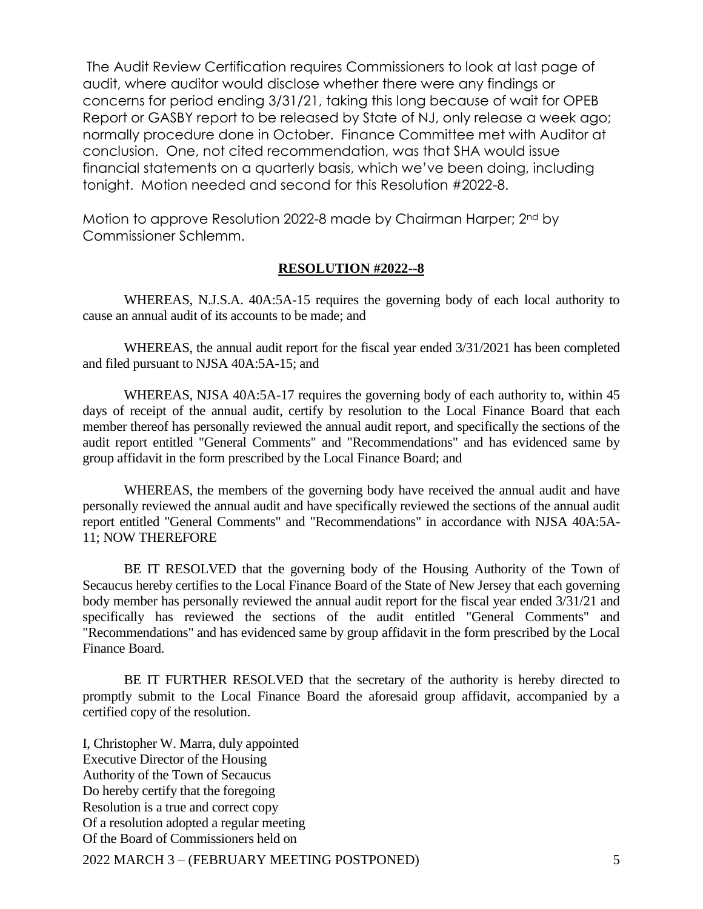The Audit Review Certification requires Commissioners to look at last page of audit, where auditor would disclose whether there were any findings or concerns for period ending 3/31/21, taking this long because of wait for OPEB Report or GASBY report to be released by State of NJ, only release a week ago; normally procedure done in October. Finance Committee met with Auditor at conclusion. One, not cited recommendation, was that SHA would issue financial statements on a quarterly basis, which we've been doing, including tonight. Motion needed and second for this Resolution #2022-8.

Motion to approve Resolution 2022-8 made by Chairman Harper; 2nd by Commissioner Schlemm.

#### **RESOLUTION #2022--8**

WHEREAS, N.J.S.A. 40A:5A-15 requires the governing body of each local authority to cause an annual audit of its accounts to be made; and

WHEREAS, the annual audit report for the fiscal year ended 3/31/2021 has been completed and filed pursuant to NJSA 40A:5A-15; and

WHEREAS, NJSA 40A:5A-17 requires the governing body of each authority to, within 45 days of receipt of the annual audit, certify by resolution to the Local Finance Board that each member thereof has personally reviewed the annual audit report, and specifically the sections of the audit report entitled "General Comments" and "Recommendations" and has evidenced same by group affidavit in the form prescribed by the Local Finance Board; and

WHEREAS, the members of the governing body have received the annual audit and have personally reviewed the annual audit and have specifically reviewed the sections of the annual audit report entitled "General Comments" and "Recommendations" in accordance with NJSA 40A:5A-11; NOW THEREFORE

BE IT RESOLVED that the governing body of the Housing Authority of the Town of Secaucus hereby certifies to the Local Finance Board of the State of New Jersey that each governing body member has personally reviewed the annual audit report for the fiscal year ended 3/31/21 and specifically has reviewed the sections of the audit entitled "General Comments" and "Recommendations" and has evidenced same by group affidavit in the form prescribed by the Local Finance Board.

BE IT FURTHER RESOLVED that the secretary of the authority is hereby directed to promptly submit to the Local Finance Board the aforesaid group affidavit, accompanied by a certified copy of the resolution.

I, Christopher W. Marra, duly appointed Executive Director of the Housing Authority of the Town of Secaucus Do hereby certify that the foregoing Resolution is a true and correct copy Of a resolution adopted a regular meeting Of the Board of Commissioners held on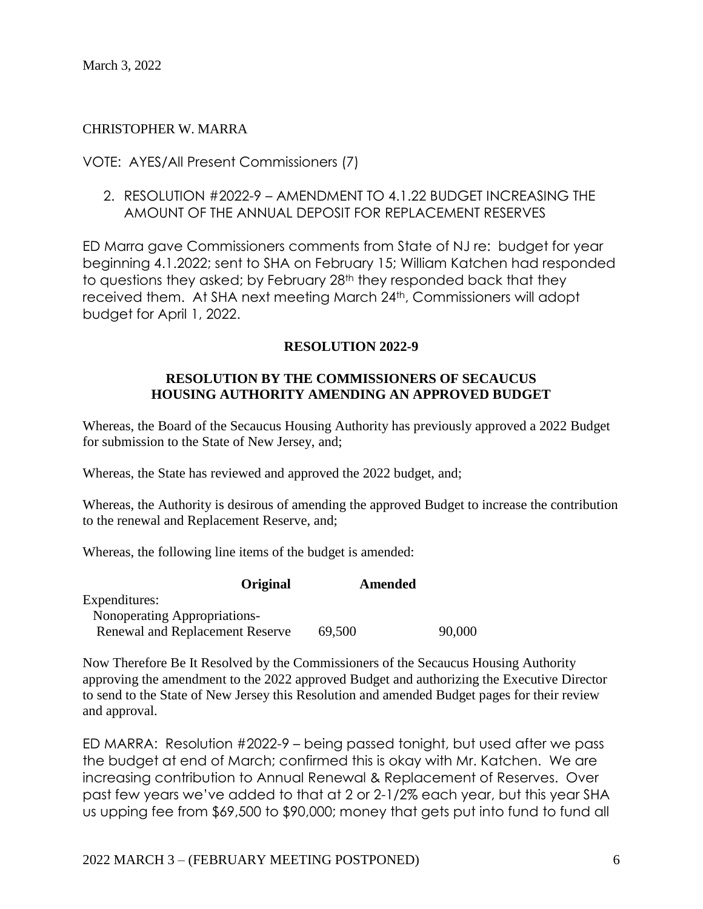#### CHRISTOPHER W. MARRA

#### VOTE: AYES/All Present Commissioners (7)

2. RESOLUTION #2022-9 – AMENDMENT TO 4.1.22 BUDGET INCREASING THE AMOUNT OF THE ANNUAL DEPOSIT FOR REPLACEMENT RESERVES

ED Marra gave Commissioners comments from State of NJ re: budget for year beginning 4.1.2022; sent to SHA on February 15; William Katchen had responded to questions they asked; by February 28<sup>th</sup> they responded back that they received them. At SHA next meeting March 24th, Commissioners will adopt budget for April 1, 2022.

#### **RESOLUTION 2022-9**

#### **RESOLUTION BY THE COMMISSIONERS OF SECAUCUS HOUSING AUTHORITY AMENDING AN APPROVED BUDGET**

Whereas, the Board of the Secaucus Housing Authority has previously approved a 2022 Budget for submission to the State of New Jersey, and;

Whereas, the State has reviewed and approved the 2022 budget, and;

Whereas, the Authority is desirous of amending the approved Budget to increase the contribution to the renewal and Replacement Reserve, and;

Whereas, the following line items of the budget is amended:

| <b>Original</b>                        | Amended |        |
|----------------------------------------|---------|--------|
| Expenditures:                          |         |        |
| Nonoperating Appropriations-           |         |        |
| <b>Renewal and Replacement Reserve</b> | 69,500  | 90,000 |

Now Therefore Be It Resolved by the Commissioners of the Secaucus Housing Authority approving the amendment to the 2022 approved Budget and authorizing the Executive Director to send to the State of New Jersey this Resolution and amended Budget pages for their review and approval.

ED MARRA: Resolution #2022-9 – being passed tonight, but used after we pass the budget at end of March; confirmed this is okay with Mr. Katchen. We are increasing contribution to Annual Renewal & Replacement of Reserves. Over past few years we've added to that at 2 or 2-1/2% each year, but this year SHA us upping fee from \$69,500 to \$90,000; money that gets put into fund to fund all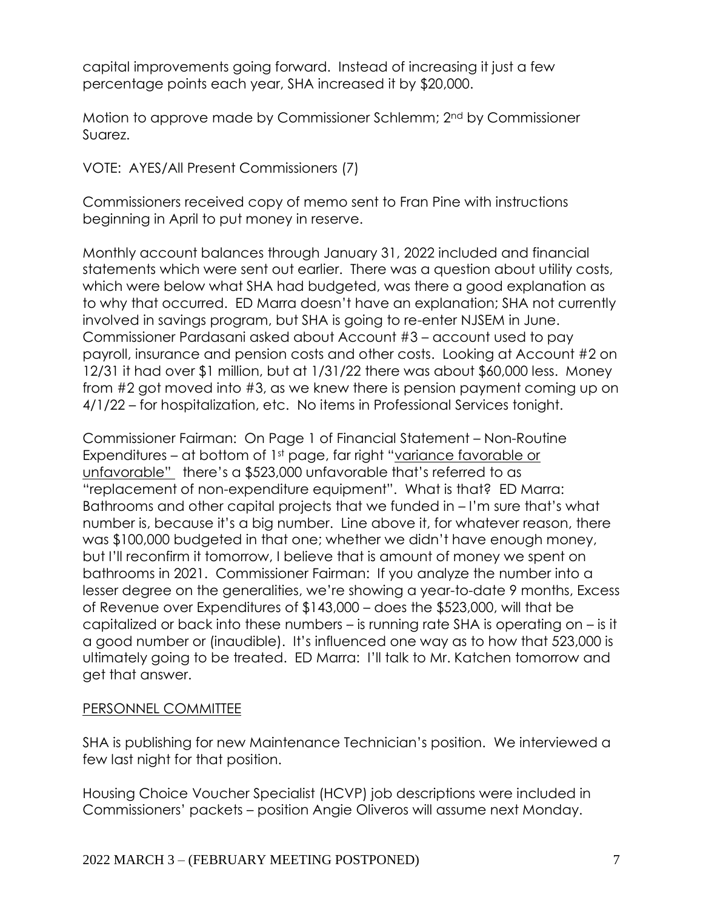capital improvements going forward. Instead of increasing it just a few percentage points each year, SHA increased it by \$20,000.

Motion to approve made by Commissioner Schlemm; 2nd by Commissioner Suarez.

VOTE: AYES/All Present Commissioners (7)

Commissioners received copy of memo sent to Fran Pine with instructions beginning in April to put money in reserve.

Monthly account balances through January 31, 2022 included and financial statements which were sent out earlier. There was a question about utility costs, which were below what SHA had budgeted, was there a good explanation as to why that occurred. ED Marra doesn't have an explanation; SHA not currently involved in savings program, but SHA is going to re-enter NJSEM in June. Commissioner Pardasani asked about Account #3 – account used to pay payroll, insurance and pension costs and other costs. Looking at Account #2 on 12/31 it had over \$1 million, but at 1/31/22 there was about \$60,000 less. Money from #2 got moved into #3, as we knew there is pension payment coming up on 4/1/22 – for hospitalization, etc. No items in Professional Services tonight.

Commissioner Fairman: On Page 1 of Financial Statement – Non-Routine Expenditures – at bottom of 1st page, far right "variance favorable or unfavorable" there's a \$523,000 unfavorable that's referred to as "replacement of non-expenditure equipment". What is that? ED Marra: Bathrooms and other capital projects that we funded in – I'm sure that's what number is, because it's a big number. Line above it, for whatever reason, there was \$100,000 budgeted in that one; whether we didn't have enough money, but I'll reconfirm it tomorrow, I believe that is amount of money we spent on bathrooms in 2021. Commissioner Fairman: If you analyze the number into a lesser degree on the generalities, we're showing a year-to-date 9 months, Excess of Revenue over Expenditures of \$143,000 – does the \$523,000, will that be capitalized or back into these numbers – is running rate SHA is operating on – is it a good number or (inaudible). It's influenced one way as to how that 523,000 is ultimately going to be treated. ED Marra: I'll talk to Mr. Katchen tomorrow and get that answer.

## PERSONNEL COMMITTEE

SHA is publishing for new Maintenance Technician's position. We interviewed a few last night for that position.

Housing Choice Voucher Specialist (HCVP) job descriptions were included in Commissioners' packets – position Angie Oliveros will assume next Monday.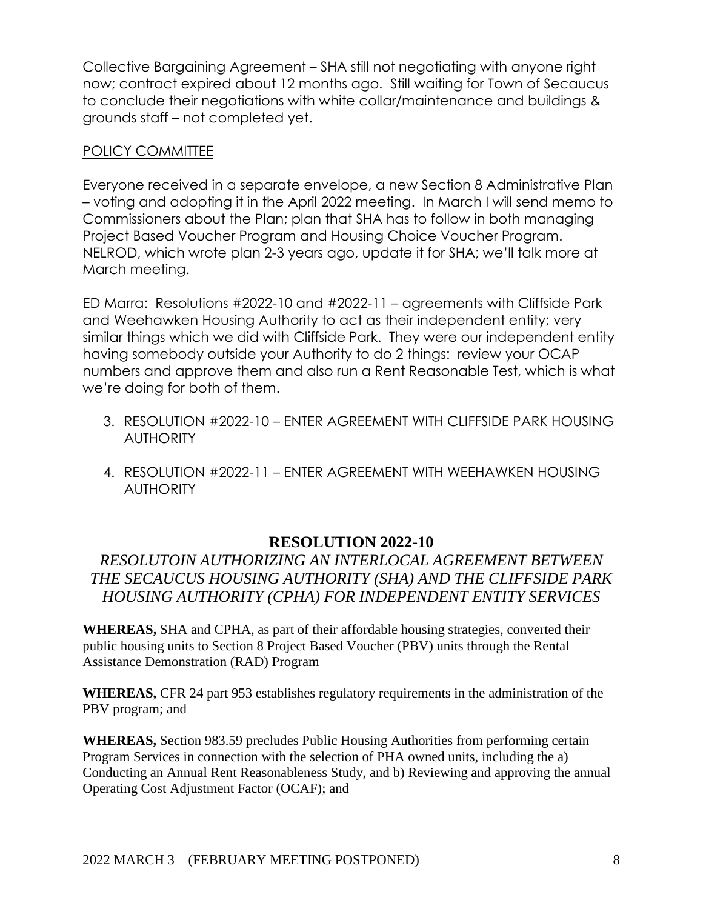Collective Bargaining Agreement – SHA still not negotiating with anyone right now; contract expired about 12 months ago. Still waiting for Town of Secaucus to conclude their negotiations with white collar/maintenance and buildings & grounds staff – not completed yet.

## POLICY COMMITTEE

Everyone received in a separate envelope, a new Section 8 Administrative Plan – voting and adopting it in the April 2022 meeting. In March I will send memo to Commissioners about the Plan; plan that SHA has to follow in both managing Project Based Voucher Program and Housing Choice Voucher Program. NELROD, which wrote plan 2-3 years ago, update it for SHA; we'll talk more at March meeting.

ED Marra: Resolutions #2022-10 and #2022-11 – agreements with Cliffside Park and Weehawken Housing Authority to act as their independent entity; very similar things which we did with Cliffside Park. They were our independent entity having somebody outside your Authority to do 2 things: review your OCAP numbers and approve them and also run a Rent Reasonable Test, which is what we're doing for both of them.

- 3. RESOLUTION #2022-10 ENTER AGREEMENT WITH CLIFFSIDE PARK HOUSING **AUTHORITY**
- 4. RESOLUTION #2022-11 ENTER AGREEMENT WITH WEEHAWKEN HOUSING **AUTHORITY**

## **RESOLUTION 2022-10**

## *RESOLUTOIN AUTHORIZING AN INTERLOCAL AGREEMENT BETWEEN THE SECAUCUS HOUSING AUTHORITY (SHA) AND THE CLIFFSIDE PARK HOUSING AUTHORITY (CPHA) FOR INDEPENDENT ENTITY SERVICES*

**WHEREAS,** SHA and CPHA, as part of their affordable housing strategies, converted their public housing units to Section 8 Project Based Voucher (PBV) units through the Rental Assistance Demonstration (RAD) Program

**WHEREAS,** CFR 24 part 953 establishes regulatory requirements in the administration of the PBV program; and

**WHEREAS,** Section 983.59 precludes Public Housing Authorities from performing certain Program Services in connection with the selection of PHA owned units, including the a) Conducting an Annual Rent Reasonableness Study, and b) Reviewing and approving the annual Operating Cost Adjustment Factor (OCAF); and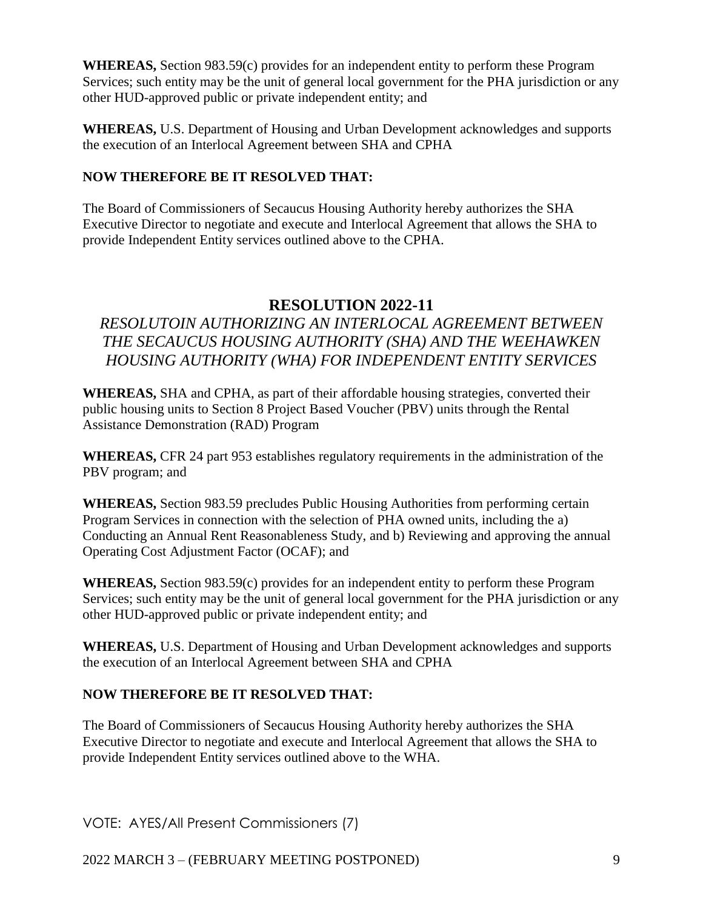**WHEREAS,** Section 983.59(c) provides for an independent entity to perform these Program Services; such entity may be the unit of general local government for the PHA jurisdiction or any other HUD-approved public or private independent entity; and

**WHEREAS,** U.S. Department of Housing and Urban Development acknowledges and supports the execution of an Interlocal Agreement between SHA and CPHA

## **NOW THEREFORE BE IT RESOLVED THAT:**

The Board of Commissioners of Secaucus Housing Authority hereby authorizes the SHA Executive Director to negotiate and execute and Interlocal Agreement that allows the SHA to provide Independent Entity services outlined above to the CPHA.

# **RESOLUTION 2022-11**

# *RESOLUTOIN AUTHORIZING AN INTERLOCAL AGREEMENT BETWEEN THE SECAUCUS HOUSING AUTHORITY (SHA) AND THE WEEHAWKEN HOUSING AUTHORITY (WHA) FOR INDEPENDENT ENTITY SERVICES*

**WHEREAS,** SHA and CPHA, as part of their affordable housing strategies, converted their public housing units to Section 8 Project Based Voucher (PBV) units through the Rental Assistance Demonstration (RAD) Program

**WHEREAS,** CFR 24 part 953 establishes regulatory requirements in the administration of the PBV program; and

**WHEREAS,** Section 983.59 precludes Public Housing Authorities from performing certain Program Services in connection with the selection of PHA owned units, including the a) Conducting an Annual Rent Reasonableness Study, and b) Reviewing and approving the annual Operating Cost Adjustment Factor (OCAF); and

**WHEREAS,** Section 983.59(c) provides for an independent entity to perform these Program Services; such entity may be the unit of general local government for the PHA jurisdiction or any other HUD-approved public or private independent entity; and

**WHEREAS,** U.S. Department of Housing and Urban Development acknowledges and supports the execution of an Interlocal Agreement between SHA and CPHA

## **NOW THEREFORE BE IT RESOLVED THAT:**

The Board of Commissioners of Secaucus Housing Authority hereby authorizes the SHA Executive Director to negotiate and execute and Interlocal Agreement that allows the SHA to provide Independent Entity services outlined above to the WHA.

VOTE: AYES/All Present Commissioners (7)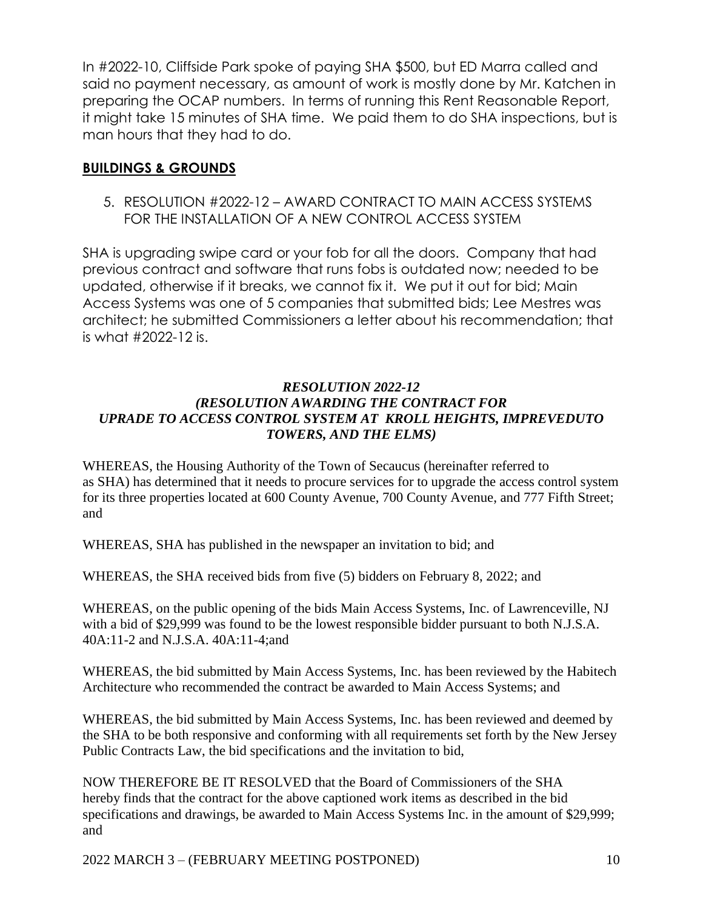In #2022-10, Cliffside Park spoke of paying SHA \$500, but ED Marra called and said no payment necessary, as amount of work is mostly done by Mr. Katchen in preparing the OCAP numbers. In terms of running this Rent Reasonable Report, it might take 15 minutes of SHA time. We paid them to do SHA inspections, but is man hours that they had to do.

## **BUILDINGS & GROUNDS**

5. RESOLUTION #2022-12 – AWARD CONTRACT TO MAIN ACCESS SYSTEMS FOR THE INSTALLATION OF A NEW CONTROL ACCESS SYSTEM

SHA is upgrading swipe card or your fob for all the doors. Company that had previous contract and software that runs fobs is outdated now; needed to be updated, otherwise if it breaks, we cannot fix it. We put it out for bid; Main Access Systems was one of 5 companies that submitted bids; Lee Mestres was architect; he submitted Commissioners a letter about his recommendation; that is what #2022-12 is.

#### *RESOLUTION 2022-12 (RESOLUTION AWARDING THE CONTRACT FOR UPRADE TO ACCESS CONTROL SYSTEM AT KROLL HEIGHTS, IMPREVEDUTO TOWERS, AND THE ELMS)*

WHEREAS, the Housing Authority of the Town of Secaucus (hereinafter referred to as SHA) has determined that it needs to procure services for to upgrade the access control system for its three properties located at 600 County Avenue, 700 County Avenue, and 777 Fifth Street; and

WHEREAS, SHA has published in the newspaper an invitation to bid; and

WHEREAS, the SHA received bids from five (5) bidders on February 8, 2022; and

WHEREAS, on the public opening of the bids Main Access Systems, Inc. of Lawrenceville, NJ with a bid of \$29,999 was found to be the lowest responsible bidder pursuant to both N.J.S.A. 40A:11-2 and N.J.S.A. 40A:11-4;and

WHEREAS, the bid submitted by Main Access Systems, Inc. has been reviewed by the Habitech Architecture who recommended the contract be awarded to Main Access Systems; and

WHEREAS, the bid submitted by Main Access Systems, Inc. has been reviewed and deemed by the SHA to be both responsive and conforming with all requirements set forth by the New Jersey Public Contracts Law, the bid specifications and the invitation to bid,

NOW THEREFORE BE IT RESOLVED that the Board of Commissioners of the SHA hereby finds that the contract for the above captioned work items as described in the bid specifications and drawings, be awarded to Main Access Systems Inc. in the amount of \$29,999; and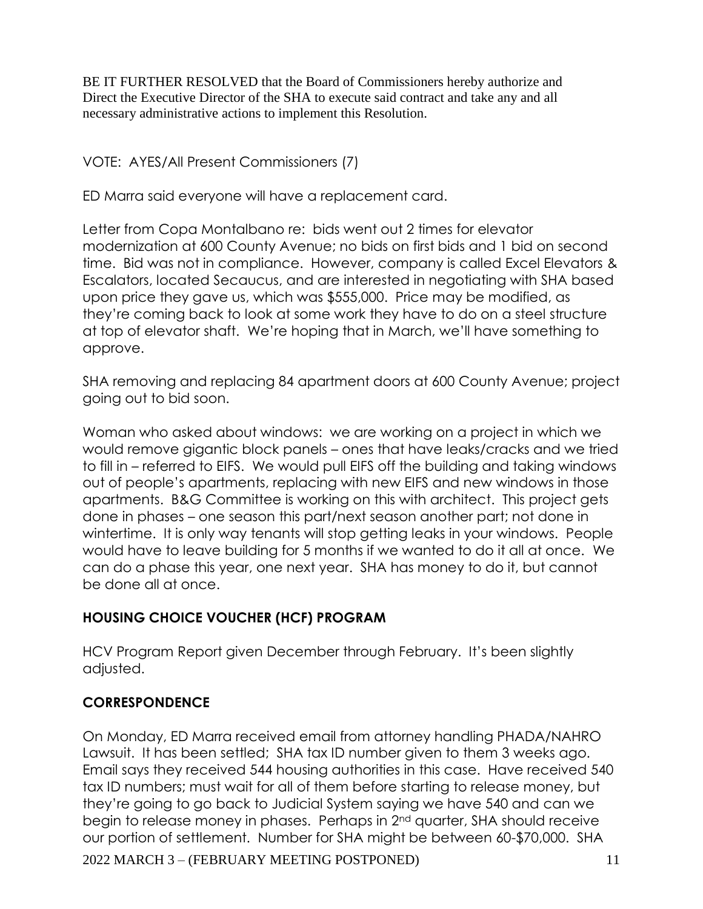BE IT FURTHER RESOLVED that the Board of Commissioners hereby authorize and Direct the Executive Director of the SHA to execute said contract and take any and all necessary administrative actions to implement this Resolution.

VOTE: AYES/All Present Commissioners (7)

ED Marra said everyone will have a replacement card.

Letter from Copa Montalbano re: bids went out 2 times for elevator modernization at 600 County Avenue; no bids on first bids and 1 bid on second time. Bid was not in compliance. However, company is called Excel Elevators & Escalators, located Secaucus, and are interested in negotiating with SHA based upon price they gave us, which was \$555,000. Price may be modified, as they're coming back to look at some work they have to do on a steel structure at top of elevator shaft. We're hoping that in March, we'll have something to approve.

SHA removing and replacing 84 apartment doors at 600 County Avenue; project going out to bid soon.

Woman who asked about windows: we are working on a project in which we would remove gigantic block panels – ones that have leaks/cracks and we tried to fill in – referred to EIFS. We would pull EIFS off the building and taking windows out of people's apartments, replacing with new EIFS and new windows in those apartments. B&G Committee is working on this with architect. This project gets done in phases – one season this part/next season another part; not done in wintertime. It is only way tenants will stop getting leaks in your windows. People would have to leave building for 5 months if we wanted to do it all at once. We can do a phase this year, one next year. SHA has money to do it, but cannot be done all at once.

# **HOUSING CHOICE VOUCHER (HCF) PROGRAM**

HCV Program Report given December through February. It's been slightly adjusted.

## **CORRESPONDENCE**

2022 MARCH 3 – (FEBRUARY MEETING POSTPONED) 11 On Monday, ED Marra received email from attorney handling PHADA/NAHRO Lawsuit. It has been settled; SHA tax ID number given to them 3 weeks ago. Email says they received 544 housing authorities in this case. Have received 540 tax ID numbers; must wait for all of them before starting to release money, but they're going to go back to Judicial System saying we have 540 and can we begin to release money in phases. Perhaps in 2nd quarter, SHA should receive our portion of settlement. Number for SHA might be between 60-\$70,000. SHA